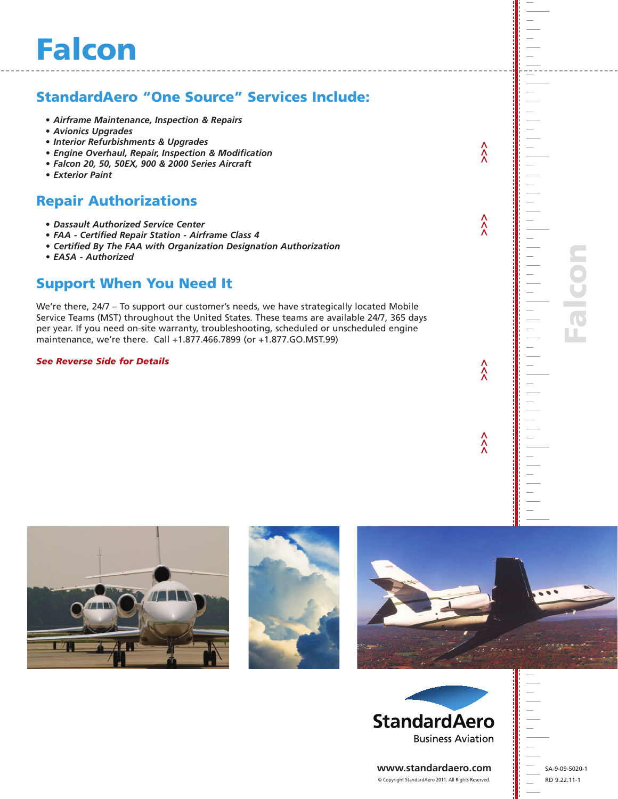# StandardAero "One Source" Services Include:

- *• Airframe Maintenance, Inspection & Repairs*
- *• Avionics Upgrades*
- *• Interior Refurbishments & Upgrades*
- *• Engine Overhaul, Repair, Inspection & Modification*
- *• Falcon 20, 50, 50EX, 900 & 2000 Series Aircraft*
- *• Exterior Paint*

### Repair Authorizations

- *• Dassault Authorized Service Center*
- *• FAA - Certified Repair Station - Airframe Class 4*
- *• Certified By The FAA with Organization Designation Authorization*
- *• EASA - Authorized*

## Support When You Need It

We're there, 24/7 – To support our customer's needs, we have strategically located Mobile Service Teams (MST) throughout the United States. These teams are available 24/7, 365 days per year. If you need on-site warranty, troubleshooting, scheduled or unscheduled engine maintenance, we're there. Call +1.877.466.7899 (or +1.877.GO.MST.99)

*See Reverse Side for Details*

 **>>> >>> >>> >>>**

 $\hat{\hat{\lambda}}$ 

 $\hat{\lambda}$ 

 $\hat{\lambda}$ 

 $\hat{\lambda}$ 

alco









**www.standardaero.com** © Copyright StandardAero 2011. All Rights Reserved.

SA-9-09-5020-1 RD 9.22.11-1